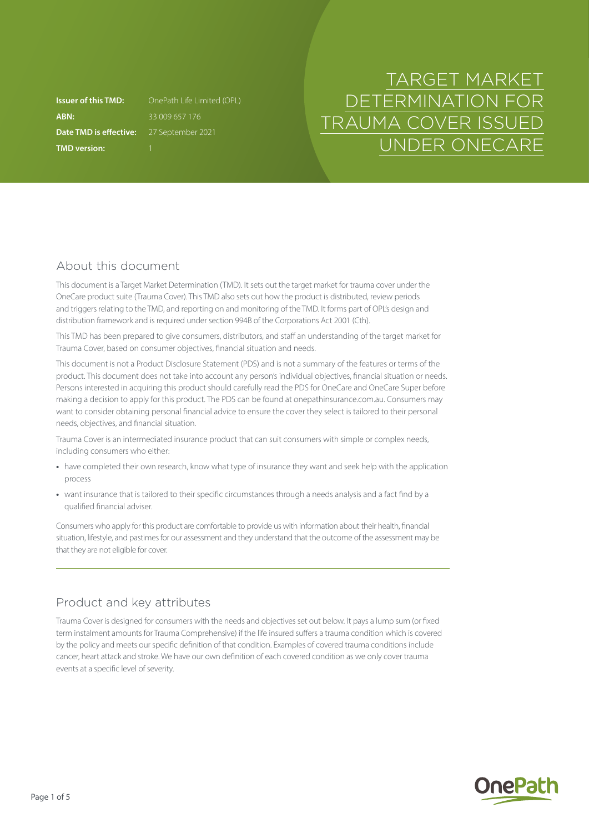**ABN:** 33 009 657 176 **Date TMD is effective:** 27 September 2021 **TMD version:** 1

**Issuer of this TMD:** OnePath Life Limited (OPL)

# TARGET MARKET DETERMINATION FOR TRAUMA COVER ISSUED UNDER ONECARE

# About this document

This document is a Target Market Determination (TMD). It sets out the target market for trauma cover under the OneCare product suite (Trauma Cover). This TMD also sets out how the product is distributed, review periods and triggers relating to the TMD, and reporting on and monitoring of the TMD. It forms part of OPL's design and distribution framework and is required under section 994B of the Corporations Act 2001 (Cth).

This TMD has been prepared to give consumers, distributors, and staff an understanding of the target market for Trauma Cover, based on consumer objectives, financial situation and needs.

This document is not a Product Disclosure Statement (PDS) and is not a summary of the features or terms of the product. This document does not take into account any person's individual objectives, financial situation or needs. Persons interested in acquiring this product should carefully read the PDS for OneCare and OneCare Super before making a decision to apply for this product. The PDS can be found at [onepathinsurance.com.au.](http://onepathinsurance.com.au) Consumers may want to consider obtaining personal financial advice to ensure the cover they select is tailored to their personal needs, objectives, and financial situation.

Trauma Cover is an intermediated insurance product that can suit consumers with simple or complex needs, including consumers who either:

- **•** have completed their own research, know what type of insurance they want and seek help with the application process
- **•** want insurance that is tailored to their specific circumstances through a needs analysis and a fact find by a qualified financial adviser.

Consumers who apply for this product are comfortable to provide us with information about their health, financial situation, lifestyle, and pastimes for our assessment and they understand that the outcome of the assessment may be that they are not eligible for cover.

# Product and key attributes

Trauma Cover is designed for consumers with the needs and objectives set out below. It pays a lump sum (or fixed term instalment amounts for Trauma Comprehensive) if the life insured suffers a trauma condition which is covered by the policy and meets our specific definition of that condition. Examples of covered trauma conditions include cancer, heart attack and stroke. We have our own definition of each covered condition as we only cover trauma events at a specific level of severity.

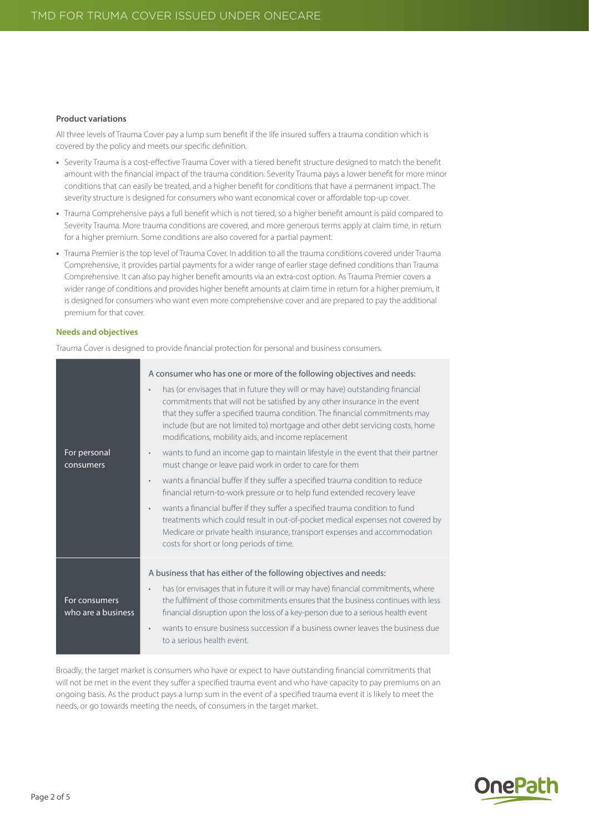#### **Product variations**

All three levels of Trauma Cover pay a lump sum benefit if the life insured suffers a trauma condition which is covered by the policy and meets our specific definition.

- **•** Severity Trauma is a cost-effective Trauma Cover with a tiered benefit structure designed to match the benefit amount with the financial impact of the trauma condition. Severity Trauma pays a lower benefit for more minor conditions that can easily be treated, and a higher benefit for conditions that have a permanent impact. The severity structure is designed for consumers who want economical cover or affordable top-up cover.
- **•** Trauma Comprehensive pays a full benefit which is not tiered, so a higher benefit amount is paid compared to Severity Trauma. More trauma conditions are covered, and more generous terms apply at claim time, in return for a higher premium. Some conditions are also covered for a partial payment.
- **•** Trauma Premier is the top level of Trauma Cover. In addition to all the trauma conditions covered under Trauma Comprehensive, it provides partial payments for a wider range of earlier stage defined conditions than Trauma Comprehensive. It can also pay higher benefit amounts via an extra-cost option. As Trauma Premier covers a wider range of conditions and provides higher benefit amounts at claim time in return for a higher premium, it is designed for consumers who want even more comprehensive cover and are prepared to pay the additional premium for that cover.

#### **Needs and objectives**

Trauma Cover is designed to provide financial protection for personal and business consumers.

|                                     | A consumer who has one or more of the following objectives and needs:                                                                                                                                                                                                                                                                                                                              |
|-------------------------------------|----------------------------------------------------------------------------------------------------------------------------------------------------------------------------------------------------------------------------------------------------------------------------------------------------------------------------------------------------------------------------------------------------|
|                                     | has (or envisages that in future they will or may have) outstanding financial<br>$\bullet$<br>commitments that will not be satisfied by any other insurance in the event<br>that they suffer a specified trauma condition. The financial commitments may<br>include (but are not limited to) mortgage and other debt servicing costs, home<br>modifications, mobility aids, and income replacement |
| For personal<br>consumers           | wants to fund an income gap to maintain lifestyle in the event that their partner<br>$\bullet$<br>must change or leave paid work in order to care for them                                                                                                                                                                                                                                         |
|                                     | wants a financial buffer if they suffer a specified trauma condition to reduce<br>$\bullet$<br>financial return-to-work pressure or to help fund extended recovery leave                                                                                                                                                                                                                           |
|                                     | wants a financial buffer if they suffer a specified trauma condition to fund<br>$\bullet$<br>treatments which could result in out-of-pocket medical expenses not covered by<br>Medicare or private health insurance, transport expenses and accommodation<br>costs for short or long periods of time.                                                                                              |
|                                     | A business that has either of the following objectives and needs:                                                                                                                                                                                                                                                                                                                                  |
| For consumers<br>who are a business | has (or envisages that in future it will or may have) financial commitments, where<br>$\bullet$<br>the fulfilment of those commitments ensures that the business continues with less<br>financial disruption upon the loss of a key-person due to a serious health event                                                                                                                           |
|                                     | wants to ensure business succession if a business owner leaves the business due<br>$\bullet$<br>to a serious health event.                                                                                                                                                                                                                                                                         |

Broadly, the target market is consumers who have or expect to have outstanding financial commitments that will not be met in the event they suffer a specified trauma event and who have capacity to pay premiums on an ongoing basis. As the product pays a lump sum in the event of a specified trauma event it is likely to meet the needs, or go towards meeting the needs, of consumers in the target market.

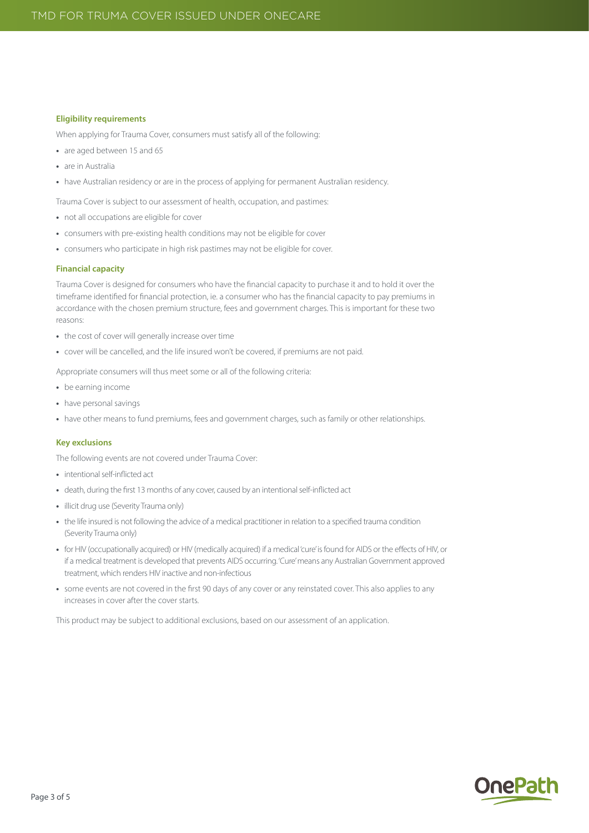#### **Eligibility requirements**

When applying for Trauma Cover, consumers must satisfy all of the following:

- **•** are aged between 15 and 65
- **•** are in Australia
- have Australian residency or are in the process of applying for permanent Australian residency.

Trauma Cover is subject to our assessment of health, occupation, and pastimes:

- **•** not all occupations are eligible for cover
- **•** consumers with pre-existing health conditions may not be eligible for cover
- **•** consumers who participate in high risk pastimes may not be eligible for cover.

#### **Financial capacity**

Trauma Cover is designed for consumers who have the financial capacity to purchase it and to hold it over the timeframe identified for financial protection, ie. a consumer who has the financial capacity to pay premiums in accordance with the chosen premium structure, fees and government charges. This is important for these two reasons:

- **•** the cost of cover will generally increase over time
- **•** cover will be cancelled, and the life insured won't be covered, if premiums are not paid.

Appropriate consumers will thus meet some or all of the following criteria:

- **•** be earning income
- **•** have personal savings
- **•** have other means to fund premiums, fees and government charges, such as family or other relationships.

#### **Key exclusions**

The following events are not covered under Trauma Cover:

- **•** intentional self-inflicted act
- **•** death, during the first 13 months of any cover, caused by an intentional self-inflicted act
- **•** illicit drug use (Severity Trauma only)
- **•** the life insured is not following the advice of a medical practitioner in relation to a specified trauma condition (Severity Trauma only)
- **•** for HIV (occupationally acquired) or HIV (medically acquired) if a medical 'cure' is found for AIDS or the effects of HIV, or if a medical treatment is developed that prevents AIDS occurring. 'Cure' means any Australian Government approved treatment, which renders HIV inactive and non-infectious
- **•** some events are not covered in the first 90 days of any cover or any reinstated cover. This also applies to any increases in cover after the cover starts.

This product may be subject to additional exclusions, based on our assessment of an application.

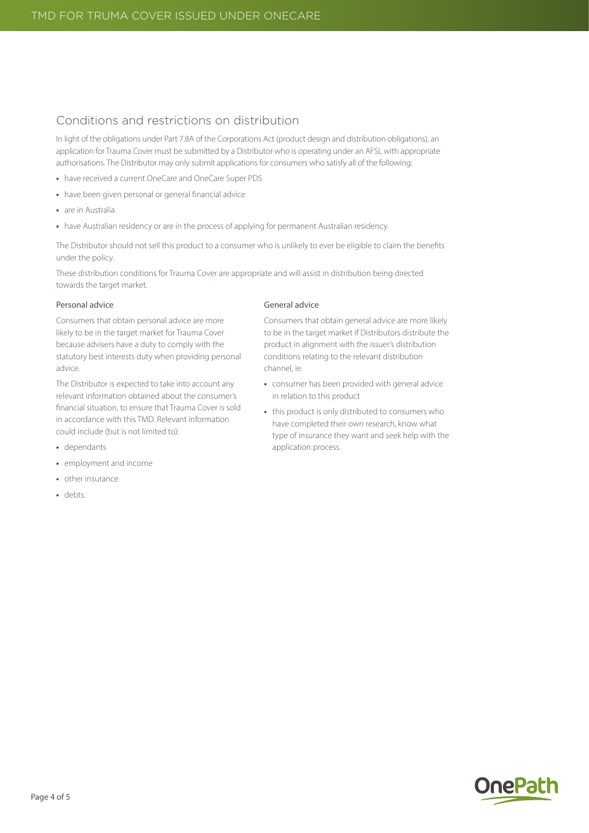# Conditions and restrictions on distribution

In light of the obligations under Part 7.8A of the Corporations Act (product design and distribution obligations), an application for Trauma Cover must be submitted by a Distributor who is operating under an AFSL with appropriate authorisations. The Distributor may only submit applications for consumers who satisfy all of the following:

- **•** have received a current OneCare and OneCare Super PDS
- **•** have been given personal or general financial advice
- **•** are in Australia
- have Australian residency or are in the process of applying for permanent Australian residency.

The Distributor should not sell this product to a consumer who is unlikely to ever be eligible to claim the benefits under the policy.

These distribution conditions for Trauma Cover are appropriate and will assist in distribution being directed towards the target market.

#### Personal advice

Consumers that obtain personal advice are more likely to be in the target market for Trauma Cover because advisers have a duty to comply with the statutory best interests duty when providing personal advice.

The Distributor is expected to take into account any relevant information obtained about the consumer's financial situation, to ensure that Trauma Cover is sold in accordance with this TMD. Relevant information could include (but is not limited to):

- **•** dependants
- **•** employment and income
- **•** other insurance
- **•** debts.

#### General advice

Consumers that obtain general advice are more likely to be in the target market if Distributors distribute the product in alignment with the issuer's distribution conditions relating to the relevant distribution channel, ie.

- **•** consumer has been provided with general advice in relation to this product
- **•** this product is only distributed to consumers who have completed their own research, know what type of insurance they want and seek help with the application process.